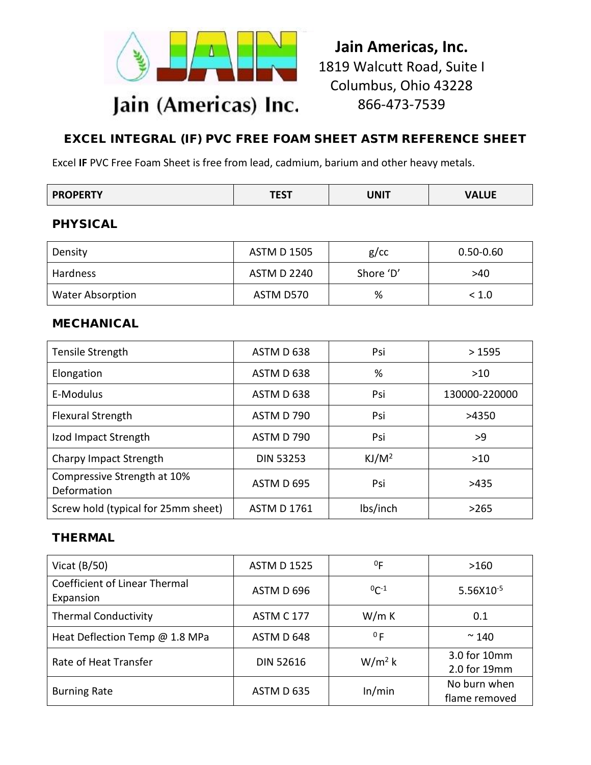

# **Jain Americas, Inc.** 1819 Walcutt Road, Suite I Columbus, Ohio 43228 866-473-7539

# EXCEL INTEGRAL (IF) PVC FREE FOAM SHEET ASTM REFERENCE SHEET

Excel **IF** PVC Free Foam Sheet is free from lead, cadmium, barium and other heavy metals.

| <b>PROPERTY</b> | *re+<br>וכאו | UNIT | <b>VALUE</b> |
|-----------------|--------------|------|--------------|
|-----------------|--------------|------|--------------|

# PHYSICAL

| Density                 | ASTM D 1505        | $g$ / $cc$ | $0.50 - 0.60$ |
|-------------------------|--------------------|------------|---------------|
| Hardness                | <b>ASTM D 2240</b> | Shore 'D'  | >40           |
| <b>Water Absorption</b> | ASTM D570          | %          | < 1.0         |

#### MECHANICAL

| Tensile Strength                           | ASTM D 638         | Psi               | >1595         |
|--------------------------------------------|--------------------|-------------------|---------------|
| Elongation                                 | ASTM D 638         | %                 | >10           |
| E-Modulus                                  | ASTM D 638         | Psi               | 130000-220000 |
| <b>Flexural Strength</b>                   | ASTM D 790         | Psi               | >4350         |
| Izod Impact Strength                       | ASTM D 790         | Psi               | >9            |
| Charpy Impact Strength                     | <b>DIN 53253</b>   | KJ/M <sup>2</sup> | >10           |
| Compressive Strength at 10%<br>Deformation | ASTM D 695         | Psi               | >435          |
| Screw hold (typical for 25mm sheet)        | <b>ASTM D 1761</b> | lbs/inch          | >265          |

# THERMAL

| Vicat $(B/50)$                                    | <b>ASTM D 1525</b> | 0 <sub>F</sub> | >160                          |
|---------------------------------------------------|--------------------|----------------|-------------------------------|
| <b>Coefficient of Linear Thermal</b><br>Expansion | ASTM D 696         | $^{0}C^{-1}$   | 5.56X10 <sup>-5</sup>         |
| <b>Thermal Conductivity</b>                       | <b>ASTM C 177</b>  | W/m K          | 0.1                           |
| Heat Deflection Temp @ 1.8 MPa                    | ASTM D 648         | 0F             | $~\sim$ 140                   |
| Rate of Heat Transfer                             | <b>DIN 52616</b>   | $W/m^2 k$      | 3.0 for 10mm<br>2.0 for 19mm  |
| <b>Burning Rate</b>                               | ASTM D 635         | In/min         | No burn when<br>flame removed |